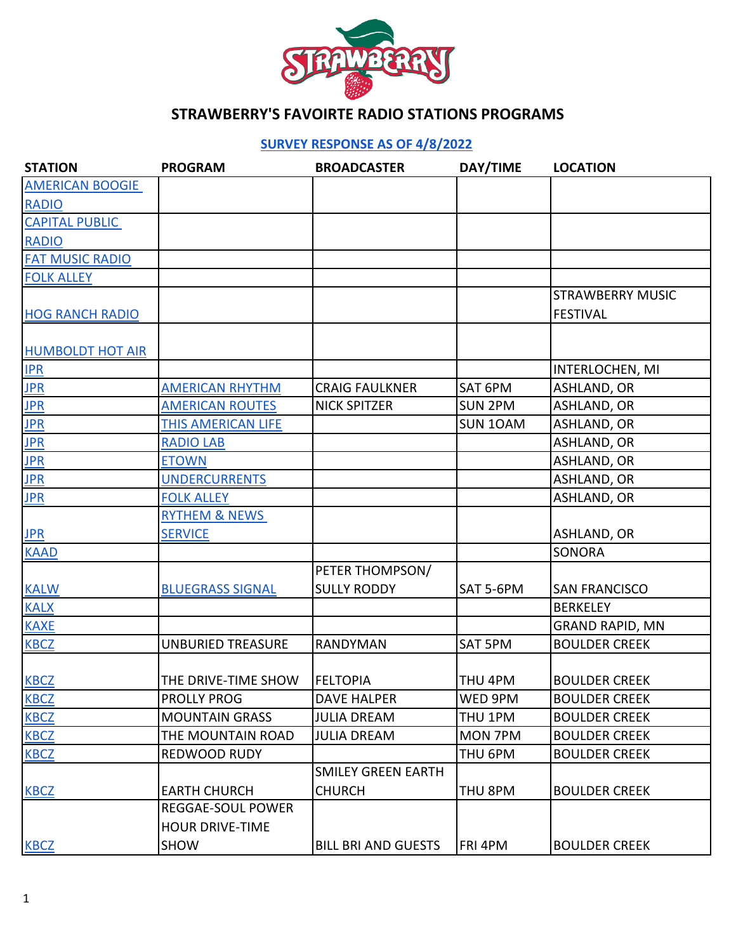

#### **[S](https://forms.gle/g21CikVowssXtHK19)URVEY RESPONSE AS OF 4/8/2022**

| <b>STATION</b>          | <b>PROGRAM</b>           | <b>BROADCASTER</b>         | DAY/TIME       | <b>LOCATION</b>         |
|-------------------------|--------------------------|----------------------------|----------------|-------------------------|
| <b>AMERICAN BOOGIE</b>  |                          |                            |                |                         |
| <b>RADIO</b>            |                          |                            |                |                         |
| <b>CAPITAL PUBLIC</b>   |                          |                            |                |                         |
| <b>RADIO</b>            |                          |                            |                |                         |
| <b>FAT MUSIC RADIO</b>  |                          |                            |                |                         |
| <b>FOLK ALLEY</b>       |                          |                            |                |                         |
|                         |                          |                            |                | <b>STRAWBERRY MUSIC</b> |
| <b>HOG RANCH RADIO</b>  |                          |                            |                | <b>FESTIVAL</b>         |
|                         |                          |                            |                |                         |
| <b>HUMBOLDT HOT AIR</b> |                          |                            |                |                         |
| IPR                     |                          |                            |                | <b>INTERLOCHEN, MI</b>  |
| <b>JPR</b>              | <b>AMERICAN RHYTHM</b>   | <b>CRAIG FAULKNER</b>      | SAT 6PM        | <b>ASHLAND, OR</b>      |
| <b>JPR</b>              | <b>AMERICAN ROUTES</b>   | <b>NICK SPITZER</b>        | <b>SUN 2PM</b> | <b>ASHLAND, OR</b>      |
| <b>JPR</b>              | THIS AMERICAN LIFE       |                            | SUN 10AM       | <b>ASHLAND, OR</b>      |
| <b>JPR</b>              | <b>RADIO LAB</b>         |                            |                | <b>ASHLAND, OR</b>      |
| <b>JPR</b>              | <b>ETOWN</b>             |                            |                | <b>ASHLAND, OR</b>      |
| <b>JPR</b>              | <b>UNDERCURRENTS</b>     |                            |                | ASHLAND, OR             |
| <b>JPR</b>              | <b>FOLK ALLEY</b>        |                            |                | ASHLAND, OR             |
|                         | RYTHEM & NEWS            |                            |                |                         |
| <b>JPR</b>              | <b>SERVICE</b>           |                            |                | <b>ASHLAND, OR</b>      |
| <b>KAAD</b>             |                          |                            |                | <b>SONORA</b>           |
|                         |                          | PETER THOMPSON/            |                |                         |
| <b>KALW</b>             | <b>BLUEGRASS SIGNAL</b>  | <b>SULLY RODDY</b>         | SAT 5-6PM      | <b>SAN FRANCISCO</b>    |
| <b>KALX</b>             |                          |                            |                | <b>BERKELEY</b>         |
| <b>KAXE</b>             |                          |                            |                | <b>GRAND RAPID, MN</b>  |
| <b>KBCZ</b>             | <b>UNBURIED TREASURE</b> | <b>RANDYMAN</b>            | SAT 5PM        | <b>BOULDER CREEK</b>    |
|                         |                          |                            |                |                         |
| <b>KBCZ</b>             | THE DRIVE-TIME SHOW      | <b>FELTOPIA</b>            | THU 4PM        | <b>BOULDER CREEK</b>    |
| <b>KBCZ</b>             | <b>PROLLY PROG</b>       | <b>DAVE HALPER</b>         | WED 9PM        | <b>BOULDER CREEK</b>    |
| <b>KBCZ</b>             | <b>MOUNTAIN GRASS</b>    | <b>JULIA DREAM</b>         | THU 1PM        | <b>BOULDER CREEK</b>    |
| <b>KBCZ</b>             | THE MOUNTAIN ROAD        | <b>JULIA DREAM</b>         | <b>MON 7PM</b> | <b>BOULDER CREEK</b>    |
| <b>KBCZ</b>             | REDWOOD RUDY             |                            | THU 6PM        | <b>BOULDER CREEK</b>    |
|                         |                          | <b>SMILEY GREEN EARTH</b>  |                |                         |
| <b>KBCZ</b>             | <b>EARTH CHURCH</b>      | <b>CHURCH</b>              | THU 8PM        | <b>BOULDER CREEK</b>    |
|                         | <b>REGGAE-SOUL POWER</b> |                            |                |                         |
|                         | <b>HOUR DRIVE-TIME</b>   |                            |                |                         |
| <b>KBCZ</b>             | SHOW                     | <b>BILL BRI AND GUESTS</b> | <b>FRI 4PM</b> | <b>BOULDER CREEK</b>    |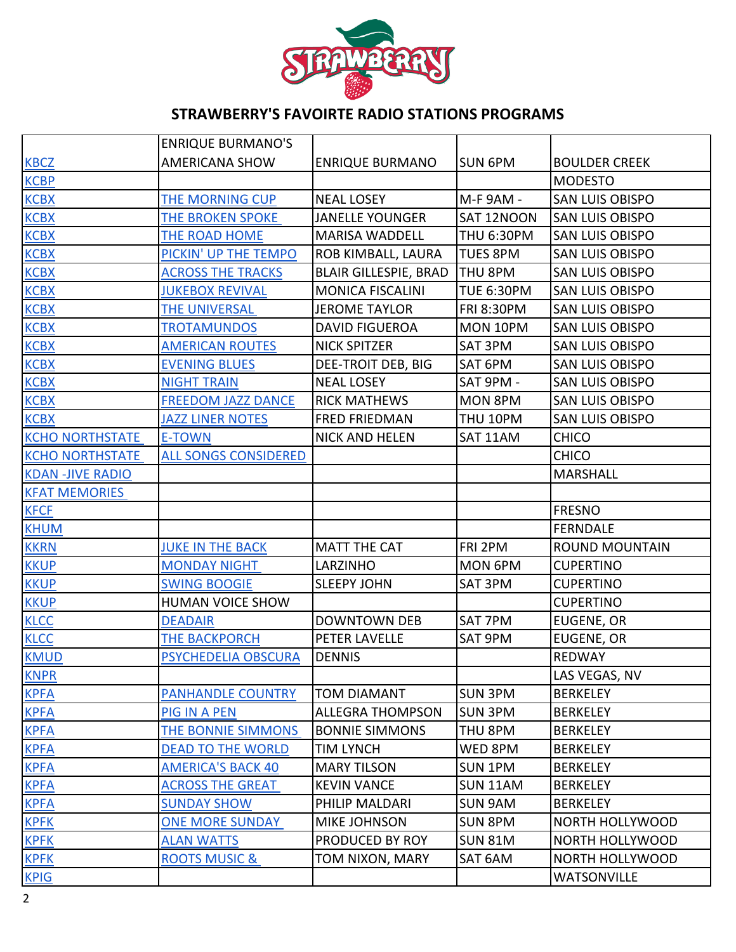

|                        | <b>ENRIQUE BURMANO'S</b>    |                              |                   |                        |
|------------------------|-----------------------------|------------------------------|-------------------|------------------------|
| <b>KBCZ</b>            | <b>AMERICANA SHOW</b>       | <b>ENRIQUE BURMANO</b>       | <b>SUN 6PM</b>    | <b>BOULDER CREEK</b>   |
| <b>KCBP</b>            |                             |                              |                   | <b>MODESTO</b>         |
| <b>KCBX</b>            | THE MORNING CUP             | <b>NEAL LOSEY</b>            | M-F 9AM -         | <b>SAN LUIS OBISPO</b> |
| <b>KCBX</b>            | THE BROKEN SPOKE            | <b>JANELLE YOUNGER</b>       | SAT 12NOON        | <b>SAN LUIS OBISPO</b> |
| <b>KCBX</b>            | THE ROAD HOME               | <b>MARISA WADDELL</b>        | <b>THU 6:30PM</b> | <b>SAN LUIS OBISPO</b> |
| <b>KCBX</b>            | PICKIN' UP THE TEMPO        | ROB KIMBALL, LAURA           | <b>TUES 8PM</b>   | <b>SAN LUIS OBISPO</b> |
| <b>KCBX</b>            | <b>ACROSS THE TRACKS</b>    | <b>BLAIR GILLESPIE, BRAD</b> | THU 8PM           | <b>SAN LUIS OBISPO</b> |
| <b>KCBX</b>            | <b>JUKEBOX REVIVAL</b>      | <b>MONICA FISCALINI</b>      | <b>TUE 6:30PM</b> | <b>SAN LUIS OBISPO</b> |
| <b>KCBX</b>            | THE UNIVERSAL               | <b>JEROME TAYLOR</b>         | <b>FRI 8:30PM</b> | <b>SAN LUIS OBISPO</b> |
| <b>KCBX</b>            | <b>TROTAMUNDOS</b>          | <b>DAVID FIGUEROA</b>        | MON 10PM          | <b>SAN LUIS OBISPO</b> |
| <b>KCBX</b>            | <b>AMERICAN ROUTES</b>      | <b>NICK SPITZER</b>          | SAT 3PM           | <b>SAN LUIS OBISPO</b> |
| <b>KCBX</b>            | <b>EVENING BLUES</b>        | DEE-TROIT DEB, BIG           | SAT 6PM           | <b>SAN LUIS OBISPO</b> |
| <b>KCBX</b>            | <b>NIGHT TRAIN</b>          | <b>NEAL LOSEY</b>            | SAT 9PM -         | <b>SAN LUIS OBISPO</b> |
| <b>KCBX</b>            | <b>FREEDOM JAZZ DANCE</b>   | <b>RICK MATHEWS</b>          | <b>MON 8PM</b>    | <b>SAN LUIS OBISPO</b> |
| <b>KCBX</b>            | <b>JAZZ LINER NOTES</b>     | <b>FRED FRIEDMAN</b>         | THU 10PM          | <b>SAN LUIS OBISPO</b> |
| <b>KCHO NORTHSTATE</b> | <b>E-TOWN</b>               | <b>NICK AND HELEN</b>        | SAT 11AM          | <b>CHICO</b>           |
| <b>KCHO NORTHSTATE</b> | <b>ALL SONGS CONSIDERED</b> |                              |                   | <b>CHICO</b>           |
| <b>KDAN-JIVE RADIO</b> |                             |                              |                   | <b>MARSHALL</b>        |
| <b>KFAT MEMORIES</b>   |                             |                              |                   |                        |
| <b>KFCF</b>            |                             |                              |                   | <b>FRESNO</b>          |
| <b>KHUM</b>            |                             |                              |                   | <b>FERNDALE</b>        |
| <b>KKRN</b>            | <b>JUKE IN THE BACK</b>     | <b>MATT THE CAT</b>          | FRI 2PM           | <b>ROUND MOUNTAIN</b>  |
| <b>KKUP</b>            | <b>MONDAY NIGHT</b>         | LARZINHO                     | MON 6PM           | <b>CUPERTINO</b>       |
| <b>KKUP</b>            | <b>SWING BOOGIE</b>         | <b>SLEEPY JOHN</b>           | SAT 3PM           | <b>CUPERTINO</b>       |
| <b>KKUP</b>            | HUMAN VOICE SHOW            |                              |                   | <b>CUPERTINO</b>       |
| <b>KLCC</b>            | <b>DEADAIR</b>              | <b>DOWNTOWN DEB</b>          | SAT 7PM           | EUGENE, OR             |
| <b>KLCC</b>            | <b>THE BACKPORCH</b>        | PETER LAVELLE                | SAT 9PM           | <b>EUGENE, OR</b>      |
| <b>KMUD</b>            | PSYCHEDELIA OBSCURA         | <b>DENNIS</b>                |                   | REDWAY                 |
| <b>KNPR</b>            |                             |                              |                   | LAS VEGAS, NV          |
| <b>KPFA</b>            | <b>PANHANDLE COUNTRY</b>    | <b>TOM DIAMANT</b>           | <b>SUN 3PM</b>    | <b>BERKELEY</b>        |
| <b>KPFA</b>            | <b>PIG IN A PEN</b>         | <b>ALLEGRA THOMPSON</b>      | <b>SUN 3PM</b>    | <b>BERKELEY</b>        |
| <b>KPFA</b>            | THE BONNIE SIMMONS          | <b>BONNIE SIMMONS</b>        | THU 8PM           | <b>BERKELEY</b>        |
| <b>KPFA</b>            | <b>DEAD TO THE WORLD</b>    | <b>TIM LYNCH</b>             | WED 8PM           | <b>BERKELEY</b>        |
| <b>KPFA</b>            | <b>AMERICA'S BACK 40</b>    | <b>MARY TILSON</b>           | SUN 1PM           | <b>BERKELEY</b>        |
| <b>KPFA</b>            | <b>ACROSS THE GREAT</b>     | <b>KEVIN VANCE</b>           | SUN 11AM          | <b>BERKELEY</b>        |
| <b>KPFA</b>            | <b>SUNDAY SHOW</b>          | PHILIP MALDARI               | <b>SUN 9AM</b>    | <b>BERKELEY</b>        |
| <b>KPFK</b>            | <b>ONE MORE SUNDAY</b>      | <b>MIKE JOHNSON</b>          | <b>SUN 8PM</b>    | NORTH HOLLYWOOD        |
| <b>KPFK</b>            | <b>ALAN WATTS</b>           | PRODUCED BY ROY              | <b>SUN 81M</b>    | NORTH HOLLYWOOD        |
| <b>KPFK</b>            | <b>ROOTS MUSIC &amp;</b>    | TOM NIXON, MARY              | SAT 6AM           | NORTH HOLLYWOOD        |
| <b>KPIG</b>            |                             |                              |                   | <b>WATSONVILLE</b>     |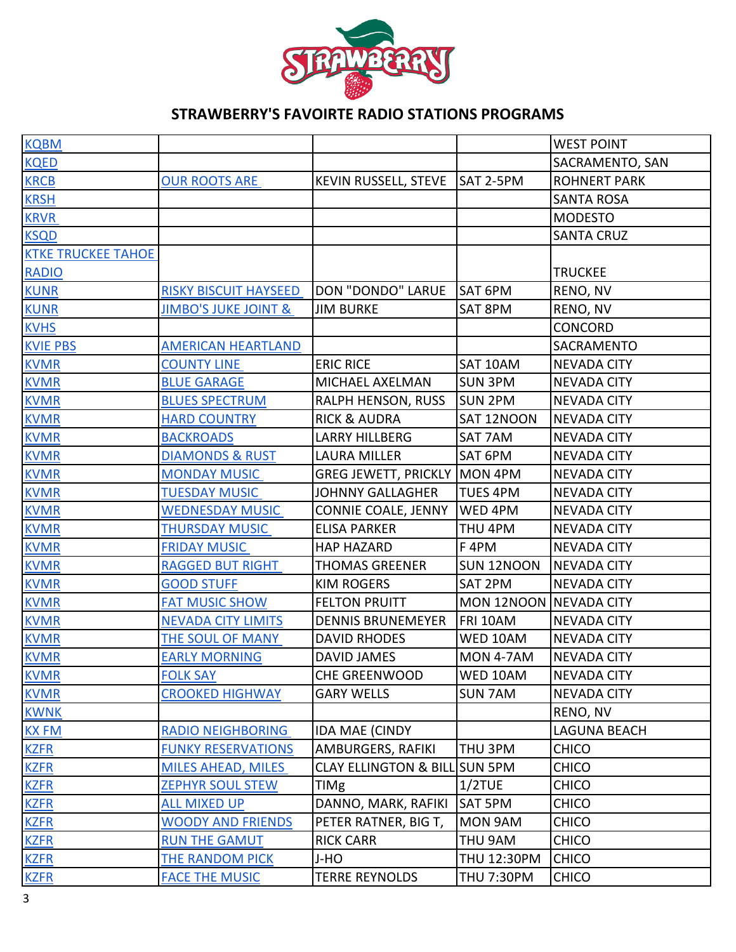

| <b>KQBM</b>               |                                 |                                  |                        | <b>WEST POINT</b>   |
|---------------------------|---------------------------------|----------------------------------|------------------------|---------------------|
| <b>KQED</b>               |                                 |                                  |                        | SACRAMENTO, SAN     |
| <b>KRCB</b>               | <b>OUR ROOTS ARE</b>            | KEVIN RUSSELL, STEVE             | SAT 2-5PM              | <b>ROHNERT PARK</b> |
| <b>KRSH</b>               |                                 |                                  |                        | <b>SANTA ROSA</b>   |
| <b>KRVR</b>               |                                 |                                  |                        | <b>MODESTO</b>      |
| <b>KSQD</b>               |                                 |                                  |                        | <b>SANTA CRUZ</b>   |
| <b>KTKE TRUCKEE TAHOE</b> |                                 |                                  |                        |                     |
| <b>RADIO</b>              |                                 |                                  |                        | <b>TRUCKEE</b>      |
| <b>KUNR</b>               | <b>RISKY BISCUIT HAYSEED</b>    | <b>DON "DONDO" LARUE</b>         | SAT 6PM                | RENO, NV            |
| <b>KUNR</b>               | <b>JIMBO'S JUKE JOINT &amp;</b> | <b>JIM BURKE</b>                 | SAT 8PM                | RENO, NV            |
| <b>KVHS</b>               |                                 |                                  |                        | CONCORD             |
| <b>KVIE PBS</b>           | <b>AMERICAN HEARTLAND</b>       |                                  |                        | SACRAMENTO          |
| <b>KVMR</b>               | <b>COUNTY LINE</b>              | <b>ERIC RICE</b>                 | SAT 10AM               | <b>NEVADA CITY</b>  |
| <b>KVMR</b>               | <b>BLUE GARAGE</b>              | MICHAEL AXELMAN                  | <b>SUN 3PM</b>         | <b>NEVADA CITY</b>  |
| <b>KVMR</b>               | <b>BLUES SPECTRUM</b>           | RALPH HENSON, RUSS               | <b>SUN 2PM</b>         | <b>NEVADA CITY</b>  |
| <b>KVMR</b>               | <b>HARD COUNTRY</b>             | <b>RICK &amp; AUDRA</b>          | SAT 12NOON             | <b>NEVADA CITY</b>  |
| <b>KVMR</b>               | <b>BACKROADS</b>                | <b>LARRY HILLBERG</b>            | SAT 7AM                | <b>NEVADA CITY</b>  |
| <b>KVMR</b>               | DIAMONDS & RUST                 | <b>LAURA MILLER</b>              | SAT 6PM                | <b>NEVADA CITY</b>  |
| <b>KVMR</b>               | <b>MONDAY MUSIC</b>             | GREG JEWETT, PRICKLY MON 4PM     |                        | <b>NEVADA CITY</b>  |
| <b>KVMR</b>               | <b>TUESDAY MUSIC</b>            | <b>JOHNNY GALLAGHER</b>          | <b>TUES 4PM</b>        | <b>NEVADA CITY</b>  |
| <b>KVMR</b>               | <b>WEDNESDAY MUSIC</b>          | <b>CONNIE COALE, JENNY</b>       | WED 4PM                | <b>NEVADA CITY</b>  |
| <b>KVMR</b>               | <b>THURSDAY MUSIC</b>           | <b>ELISA PARKER</b>              | THU 4PM                | <b>NEVADA CITY</b>  |
| <b>KVMR</b>               | <b>FRIDAY MUSIC</b>             | <b>HAP HAZARD</b>                | F <sub>4PM</sub>       | <b>NEVADA CITY</b>  |
| <b>KVMR</b>               | <b>RAGGED BUT RIGHT</b>         | <b>THOMAS GREENER</b>            | SUN 12NOON             | <b>NEVADA CITY</b>  |
| <b>KVMR</b>               | <b>GOOD STUFF</b>               | <b>KIM ROGERS</b>                | SAT 2PM                | <b>NEVADA CITY</b>  |
| <b>KVMR</b>               | <b>FAT MUSIC SHOW</b>           | <b>FELTON PRUITT</b>             | MON 12NOON NEVADA CITY |                     |
| <b>KVMR</b>               | <b>NEVADA CITY LIMITS</b>       | <b>DENNIS BRUNEMEYER</b>         | FRI 10AM               | <b>NEVADA CITY</b>  |
| <b>KVMR</b>               | THE SOUL OF MANY                | <b>DAVID RHODES</b>              | WED 10AM               | <b>NEVADA CITY</b>  |
| <b>KVMR</b>               | <b>EARLY MORNING</b>            | <b>DAVID JAMES</b>               | <b>MON 4-7AM</b>       | <b>NEVADA CITY</b>  |
| <b>KVMR</b>               | <b>FOLK SAY</b>                 | <b>CHE GREENWOOD</b>             | WED 10AM               | <b>NEVADA CITY</b>  |
| <b>KVMR</b>               | <b>CROOKED HIGHWAY</b>          | <b>GARY WELLS</b>                | <b>SUN 7AM</b>         | <b>NEVADA CITY</b>  |
| <b>KWNK</b>               |                                 |                                  |                        | RENO, NV            |
| <b>KX FM</b>              | <b>RADIO NEIGHBORING</b>        | <b>IDA MAE (CINDY</b>            |                        | LAGUNA BEACH        |
| <b>KZFR</b>               | <b>FUNKY RESERVATIONS</b>       | <b>AMBURGERS, RAFIKI</b>         | THU 3PM                | <b>CHICO</b>        |
| <b>KZFR</b>               | <b>MILES AHEAD, MILES</b>       | <b>CLAY ELLINGTON &amp; BILL</b> | <b>SUN 5PM</b>         | <b>CHICO</b>        |
| <b>KZFR</b>               | <b>ZEPHYR SOUL STEW</b>         | TIMg                             | $1/2$ TUE              | <b>CHICO</b>        |
| <b>KZFR</b>               | <b>ALL MIXED UP</b>             | DANNO, MARK, RAFIKI              | SAT 5PM                | <b>CHICO</b>        |
| <b>KZFR</b>               | <b>WOODY AND FRIENDS</b>        | PETER RATNER, BIG T,             | MON 9AM                | <b>CHICO</b>        |
| <b>KZFR</b>               | <b>RUN THE GAMUT</b>            | <b>RICK CARR</b>                 | THU 9AM                | <b>CHICO</b>        |
| <b>KZFR</b>               | <b>THE RANDOM PICK</b>          | J-HO                             | THU 12:30PM            | <b>CHICO</b>        |
| <b>KZFR</b>               | <b>FACE THE MUSIC</b>           | <b>TERRE REYNOLDS</b>            | <b>THU 7:30PM</b>      | <b>CHICO</b>        |
|                           |                                 |                                  |                        |                     |